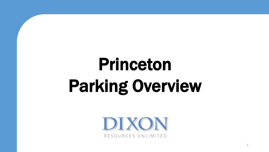# Princeton Parking Overview

DIXON RESOURCES UNLIMITED

1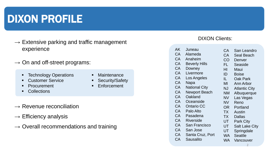# DIXON PROFILE

- $\rightarrow$  Extensive parking and traffic management experience
- $\rightarrow$  On and off-street programs:
	- Technology Operations
	- Customer Service
	- **Procurement**
	- **Collections**
- **Maintenance**
- **-** Security/Safety
- **Enforcement**

- $\rightarrow$  Revenue reconciliation
- $\rightarrow$  Efficiency analysis
- $\rightarrow$  Overall recommendations and training

#### DIXON Clients:

|                      |                              | San Leandro           |
|----------------------|------------------------------|-----------------------|
|                      |                              | Seal Beach            |
|                      |                              | Denver                |
| <b>Beverly Hills</b> | FL                           | Seaside               |
| Downey               | HI                           | Maui                  |
| Livermore            | ID                           | <b>Boise</b>          |
| Los Angeles          | IL.                          | <b>Oak Park</b>       |
| Napa                 | ΜI                           | Ann Arbor             |
| <b>National City</b> | NJ                           | <b>Atlantic City</b>  |
| <b>Newport Beach</b> | <b>NM</b>                    | Albuquerque           |
| Oakland              | <b>NV</b>                    | Las Vegas             |
| Oceanside            | <b>NV</b>                    | Reno                  |
| <b>Ontario CC</b>    | <b>OR</b>                    | Portland              |
| Palo Alto            | TX                           | Austin                |
| Pasadena             | <b>TX</b>                    | <b>Dallas</b>         |
| Riverside            | UT                           | <b>Park City</b>      |
| <b>San Francisco</b> | UT                           | <b>Salt Lake City</b> |
| San Jose             | UT                           | Springdale            |
| Santa Cruz, Port     | WA.                          | Seattle               |
| Sausalito            | <b>WA</b>                    | Vancouver             |
|                      | Juneau<br>Alameda<br>Anaheim | СA<br><b>CA</b><br>CO |

2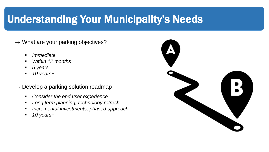# Understanding Your Municipality's Needs

- $\rightarrow$  What are your parking objectives?
	- *Immediate*
	- *Within 12 months*
	- *5 years*
	- *10 years+*
- $\rightarrow$  Develop a parking solution roadmap
	- *Consider the end user experience*
	- *Long term planning, technology refresh*
	- *Incremental investments, phased approach*
	- *10 years+*

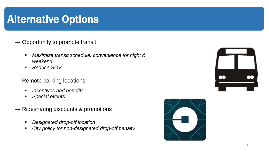### Alternative Options

#### $\rightarrow$  Opportunity to promote transit

- *Maximize transit schedule: convenience for night & weekend*
- *Reduce SOV*
- $\rightarrow$  Remote parking locations
	- *Incentives and benefits*
	- *Special events*
- $\rightarrow$  Ridesharing discounts & promotions
	- *Designated drop-off location*
	- *City policy for non-designated drop-off penalty*



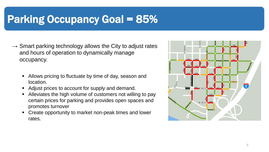### Parking Occupancy Goal = 85%

- $\rightarrow$  Smart parking technology allows the City to adjust rates and hours of operation to dynamically manage occupancy.
	- Allows pricing to fluctuate by time of day, season and location.
	- Adjust prices to account for supply and demand.
	- Alleviates the high volume of customers not willing to pay certain prices for parking and provides open spaces and promotes turnover
	- Create opportunity to market non-peak times and lower rates.

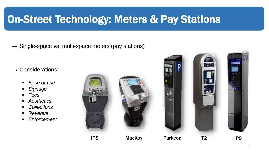## On-Street Technology: Meters & Pay Stations

 $\rightarrow$  Single-space vs. multi-space meters (pay stations)

 $\rightarrow$  Considerations:

- *Ease of use*
- *Signage*
- *Fees*
- *Aesthetics*
- *Collections*
- *Revenue*
- *Enforcement*



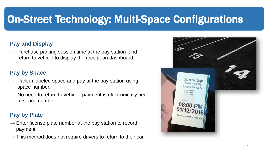# On-Street Technology: Multi-Space Configurations

#### **Pay and Display**

 $\rightarrow$  Purchase parking session time at the pay station and return to vehicle to display the receipt on dashboard.

#### **Pay by Space**

- $\rightarrow$  Park in labeled space and pay at the pay station using space number.
- $\rightarrow$  No need to return to vehicle; payment is electronically tied to space number.

#### **Pay by Plate**

- $\rightarrow$  Enter license plate number at the pay station to record payment.
- $\rightarrow$  This method does not require drivers to return to their car.

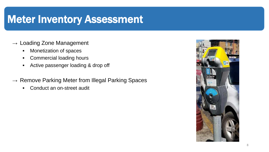### Meter Inventory Assessment

- $\rightarrow$  Loading Zone Management
	- **Monetization of spaces**
	- **-** Commercial loading hours
	- Active passenger loading & drop off
- $\rightarrow$  Remove Parking Meter from Illegal Parking Spaces
	- Conduct an on-street audit

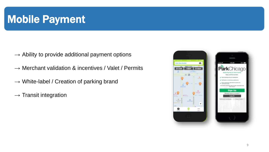### **Mobile Payment**

- $\rightarrow$  Ability to provide additional payment options
- $\rightarrow$  Merchant validation & incentives / Valet / Permits
- $\rightarrow$  White-label / Creation of parking brand
- $\rightarrow$  Transit integration

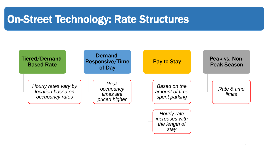### On-Street Technology: Rate Structures

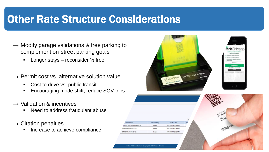### Other Rate Structure Considerations

- $\rightarrow$  Modify garage validations & free parking to complement on-street parking goals
	- **-** Longer stays reconsider  $\frac{1}{2}$  free
- $\rightarrow$  Permit cost vs. alternative solution value
	- Cost to drive vs. public transit
	- **Encouraging mode shift; reduce SOV trips**
- $\rightarrow$  Validation & incentives
	- Need to address fraudulent abuse
- $\rightarrow$  Citation penalties
	- **Increase to achieve compliance**



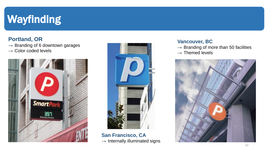# Wayfinding

#### **Portland, OR**

- $\rightarrow$  Branding of 6 downtown garages
- $\rightarrow$  Color coded levels





**San Francisco, CA**  $\rightarrow$  Internally illuminated signs

#### **Vancouver, BC**

- $\rightarrow$  Branding of more than 50 facilities
- $\rightarrow$  Themed levels

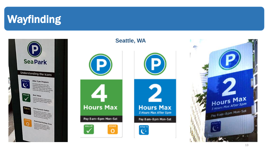# Wayfinding



#### **Seattle, WA**





3 Hours Max After 5pm

Pay 8 am-8 pm Mon-Sat

After  $\mathbf{C}$ 

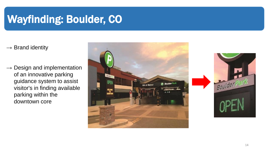# Wayfinding: Boulder, CO

 $\rightarrow$  Brand identity

 $\rightarrow$  Design and implementation of an innovative parking guidance system to assist visitor's in finding available parking within the downtown core



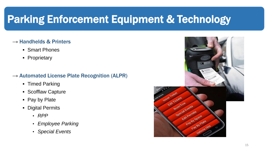# Parking Enforcement Equipment & Technology

#### $\rightarrow$  Handhelds & Printers

- **Smart Phones**
- **-** Proprietary
- $\rightarrow$  Automated License Plate Recognition (ALPR)
	- **Timed Parking**
	- **Scofflaw Capture**
	- Pay by Plate
	- **-** Digital Permits
		- *RPP*
		- *Employee Parking*
		- *Special Events*

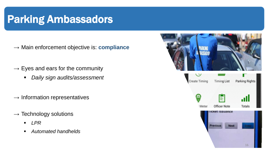### Parking Ambassadors

- → Main enforcement objective is: **compliance**
- $\rightarrow$  Eyes and ears for the community
	- *Daily sign audits/assessment*
- $\rightarrow$  Information representatives
- $\rightarrow$  Technology solutions
	- *LPR*
	- *Automated handhelds*

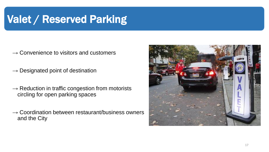# Valet / Reserved Parking

- $\rightarrow$  Convenience to visitors and customers
- $\rightarrow$  Designated point of destination
- $\rightarrow$  Reduction in traffic congestion from motorists circling for open parking spaces
- $\rightarrow$  Coordination between restaurant/business owners and the City

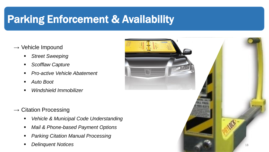# Parking Enforcement & Availability

- $\rightarrow$  Vehicle Impound
	- *Street Sweeping*
	- *Scofflaw Capture*
	- *Pro-active Vehicle Abatement*
	- *Auto Boot*
	- *Windshield Immobilizer*
- $\rightarrow$  Citation Processing
	- *Vehicle & Municipal Code Understanding*
	- *Mail & Phone-based Payment Options*
	- *Parking Citation Manual Processing*
	-

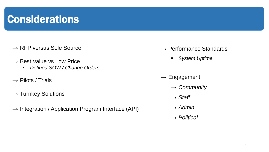### **Considerations**

- $\rightarrow$  RFP versus Sole Source
- $\rightarrow$  Best Value vs Low Price
	- *Defined SOW / Change Orders*
- $\rightarrow$  Pilots / Trials
- $\rightarrow$  Turnkey Solutions
- $\rightarrow$  Integration / Application Program Interface (API)
- $\rightarrow$  Performance Standards
	- *System Uptime*
- $\rightarrow$  Engagement
	- → *Community*
	- → *Staff*
	- $\rightarrow$  *Admin*
	- → *Political*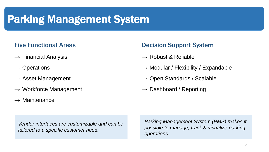### Parking Management System

#### Five Functional Areas

- $\rightarrow$  Financial Analysis
- $\rightarrow$  Operations
- $\rightarrow$  Asset Management
- $\rightarrow$  Workforce Management
- $\rightarrow$  Maintenance

#### Decision Support System

- $\rightarrow$  Robust & Reliable
- $\rightarrow$  Modular / Flexibility / Expandable
- $\rightarrow$  Open Standards / Scalable
- $\rightarrow$  Dashboard / Reporting

*Vendor interfaces are customizable and can be tailored to a specific customer need.* 

*Parking Management System (PMS) makes it possible to manage, track & visualize parking operations*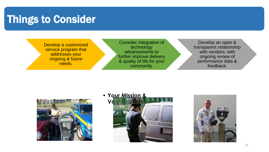### Things to Consider

Develop a customized service program that addresses your ongoing & future needs.

Consider integration of technology advancements to further improve delivery & quality of life for your community.

Develop an open & transparent relationship with vendors; with ongoing review of performance data & feedback.



• **Your Mission &**